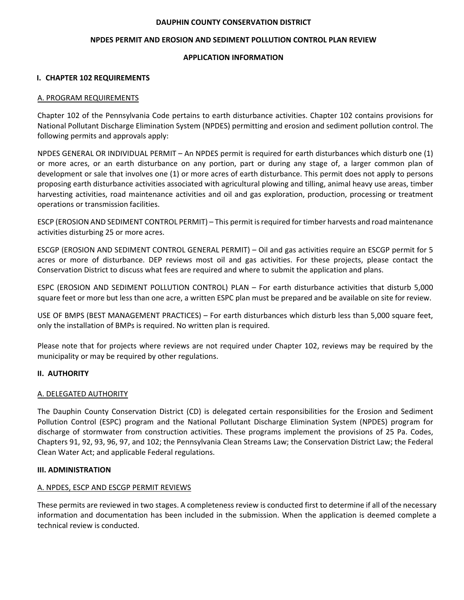#### **DAUPHIN COUNTY CONSERVATION DISTRICT**

#### **NPDES PERMIT AND EROSION AND SEDIMENT POLLUTION CONTROL PLAN REVIEW**

#### **APPLICATION INFORMATION**

#### **I. CHAPTER 102 REQUIREMENTS**

#### A. PROGRAM REQUIREMENTS

Chapter 102 of the Pennsylvania Code pertains to earth disturbance activities. Chapter 102 contains provisions for National Pollutant Discharge Elimination System (NPDES) permitting and erosion and sediment pollution control. The following permits and approvals apply:

NPDES GENERAL OR INDIVIDUAL PERMIT – An NPDES permit is required for earth disturbances which disturb one (1) or more acres, or an earth disturbance on any portion, part or during any stage of, a larger common plan of development or sale that involves one (1) or more acres of earth disturbance. This permit does not apply to persons proposing earth disturbance activities associated with agricultural plowing and tilling, animal heavy use areas, timber harvesting activities, road maintenance activities and oil and gas exploration, production, processing or treatment operations or transmission facilities.

ESCP (EROSION AND SEDIMENT CONTROL PERMIT) – This permit isrequired for timber harvests and road maintenance activities disturbing 25 or more acres.

ESCGP (EROSION AND SEDIMENT CONTROL GENERAL PERMIT) – Oil and gas activities require an ESCGP permit for 5 acres or more of disturbance. DEP reviews most oil and gas activities. For these projects, please contact the Conservation District to discuss what fees are required and where to submit the application and plans.

ESPC (EROSION AND SEDIMENT POLLUTION CONTROL) PLAN – For earth disturbance activities that disturb 5,000 square feet or more but less than one acre, a written ESPC plan must be prepared and be available on site for review.

USE OF BMPS (BEST MANAGEMENT PRACTICES) – For earth disturbances which disturb less than 5,000 square feet, only the installation of BMPs is required. No written plan is required.

Please note that for projects where reviews are not required under Chapter 102, reviews may be required by the municipality or may be required by other regulations.

#### **II. AUTHORITY**

#### A. DELEGATED AUTHORITY

The Dauphin County Conservation District (CD) is delegated certain responsibilities for the Erosion and Sediment Pollution Control (ESPC) program and the National Pollutant Discharge Elimination System (NPDES) program for discharge of stormwater from construction activities. These programs implement the provisions of 25 Pa. Codes, Chapters 91, 92, 93, 96, 97, and 102; the Pennsylvania Clean Streams Law; the Conservation District Law; the Federal Clean Water Act; and applicable Federal regulations.

#### **III. ADMINISTRATION**

#### A. NPDES, ESCP AND ESCGP PERMIT REVIEWS

These permits are reviewed in two stages. A completeness review is conducted first to determine if all of the necessary information and documentation has been included in the submission. When the application is deemed complete a technical review is conducted.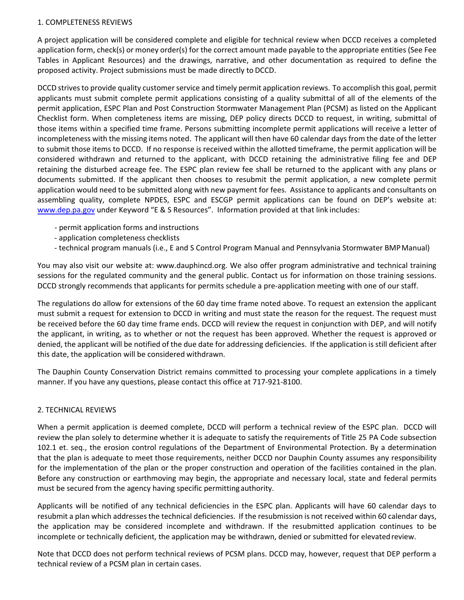#### 1. COMPLETENESS REVIEWS

A project application will be considered complete and eligible for technical review when DCCD receives a completed application form, check(s) or money order(s) for the correct amount made payable to the appropriate entities (See Fee Tables in Applicant Resources) and the drawings, narrative, and other documentation as required to define the proposed activity. Project submissions must be made directly to DCCD.

DCCD strives to provide quality customer service and timely permit application reviews. To accomplish this goal, permit applicants must submit complete permit applications consisting of a quality submittal of all of the elements of the permit application, ESPC Plan and Post Construction Stormwater Management Plan (PCSM) as listed on the Applicant Checklist form. When completeness items are missing, DEP policy directs DCCD to request, in writing, submittal of those items within a specified time frame. Persons submitting incomplete permit applications will receive a letter of incompleteness with the missing items noted. The applicant will then have 60 calendar days from the date of the letter to submit those items to DCCD. If no response is received within the allotted timeframe, the permit application will be considered withdrawn and returned to the applicant, with DCCD retaining the administrative filing fee and DEP retaining the disturbed acreage fee. The ESPC plan review fee shall be returned to the applicant with any plans or documents submitted. If the applicant then chooses to resubmit the permit application, a new complete permit application would need to be submitted along with new payment for fees. Assistance to applicants and consultants on assembling quality, complete NPDES, ESPC and ESCGP permit applications can be found on DEP's website at: www.dep.pa.gov under Keyword "E & S Resources". Information provided at that link includes:

- ‐ permit application forms and instructions
- ‐ application completeness checklists
- ‐ technical program manuals (i.e., E and S Control Program Manual and Pennsylvania Stormwater BMPManual)

You may also visit our website at: www.dauphincd.org. We also offer program administrative and technical training sessions for the regulated community and the general public. Contact us for information on those training sessions. DCCD strongly recommends that applicants for permits schedule a pre‐application meeting with one of our staff.

The regulations do allow for extensions of the 60 day time frame noted above. To request an extension the applicant must submit a request for extension to DCCD in writing and must state the reason for the request. The request must be received before the 60 day time frame ends. DCCD will review the request in conjunction with DEP, and will notify the applicant, in writing, as to whether or not the request has been approved. Whether the request is approved or denied, the applicant will be notified of the due date for addressing deficiencies. If the application is still deficient after this date, the application will be considered withdrawn.

The Dauphin County Conservation District remains committed to processing your complete applications in a timely manner. If you have any questions, please contact this office at 717‐921‐8100.

#### 2. TECHNICAL REVIEWS

When a permit application is deemed complete, DCCD will perform a technical review of the ESPC plan. DCCD will review the plan solely to determine whether it is adequate to satisfy the requirements of Title 25 PA Code subsection 102.1 et. seq., the erosion control regulations of the Department of Environmental Protection. By a determination that the plan is adequate to meet those requirements, neither DCCD nor Dauphin County assumes any responsibility for the implementation of the plan or the proper construction and operation of the facilities contained in the plan. Before any construction or earthmoving may begin, the appropriate and necessary local, state and federal permits must be secured from the agency having specific permittingauthority.

Applicants will be notified of any technical deficiencies in the ESPC plan. Applicants will have 60 calendar days to resubmit a plan which addresses the technical deficiencies. If the resubmission is not received within 60 calendar days, the application may be considered incomplete and withdrawn. If the resubmitted application continues to be incomplete or technically deficient, the application may be withdrawn, denied or submitted for elevatedreview.

Note that DCCD does not perform technical reviews of PCSM plans. DCCD may, however, request that DEP perform a technical review of a PCSM plan in certain cases.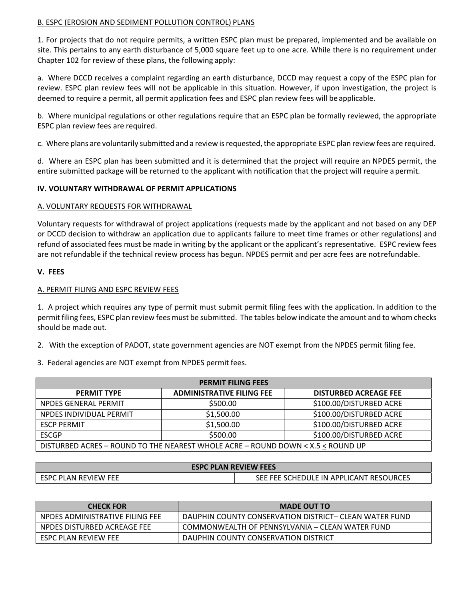#### B. ESPC (EROSION AND SEDIMENT POLLUTION CONTROL) PLANS

1. For projects that do not require permits, a written ESPC plan must be prepared, implemented and be available on site. This pertains to any earth disturbance of 5,000 square feet up to one acre. While there is no requirement under Chapter 102 for review of these plans, the following apply:

a. Where DCCD receives a complaint regarding an earth disturbance, DCCD may request a copy of the ESPC plan for review. ESPC plan review fees will not be applicable in this situation. However, if upon investigation, the project is deemed to require a permit, all permit application fees and ESPC plan review fees will be applicable.

b. Where municipal regulations or other regulations require that an ESPC plan be formally reviewed, the appropriate ESPC plan review fees are required.

c. Where plans are voluntarily submitted and a review is requested, the appropriate ESPC plan review fees are required.

d. Where an ESPC plan has been submitted and it is determined that the project will require an NPDES permit, the entire submitted package will be returned to the applicant with notification that the project will require a permit.

#### **IV. VOLUNTARY WITHDRAWAL OF PERMIT APPLICATIONS**

#### A. VOLUNTARY REQUESTS FOR WITHDRAWAL

Voluntary requests for withdrawal of project applications (requests made by the applicant and not based on any DEP or DCCD decision to withdraw an application due to applicants failure to meet time frames or other regulations) and refund of associated fees must be made in writing by the applicant or the applicant's representative. ESPC review fees are not refundable if the technical review process has begun. NPDES permit and per acre fees are notrefundable.

#### **V. FEES**

#### A. PERMIT FILING AND ESPC REVIEW FEES

1. A project which requires any type of permit must submit permit filing fees with the application. In addition to the permit filing fees, ESPC plan review fees must be submitted. The tables below indicate the amount and to whom checks should be made out.

2. With the exception of PADOT, state government agencies are NOT exempt from the NPDES permit filing fee.

3. Federal agencies are NOT exempt from NPDES permit fees.

| <b>PERMIT FILING FEES</b>                                                       |                                  |                              |  |  |  |
|---------------------------------------------------------------------------------|----------------------------------|------------------------------|--|--|--|
| <b>PERMIT TYPE</b>                                                              | <b>ADMINISTRATIVE FILING FEE</b> | <b>DISTURBED ACREAGE FEE</b> |  |  |  |
| NPDES GENERAL PERMIT                                                            | \$500.00                         | \$100.00/DISTURBED ACRE      |  |  |  |
| NPDES INDIVIDUAL PERMIT                                                         | \$1,500.00                       | \$100.00/DISTURBED ACRE      |  |  |  |
| <b>ESCP PERMIT</b>                                                              | \$1,500.00                       | \$100.00/DISTURBED ACRE      |  |  |  |
| <b>ESCGP</b>                                                                    | \$500.00                         | \$100.00/DISTURBED ACRE      |  |  |  |
| DISTURBED ACRES - ROUND TO THE NEAREST WHOLE ACRE - ROUND DOWN < X.5 < ROUND UP |                                  |                              |  |  |  |

| <b>ESPC PLAN REVIEW FEES</b> |                                         |  |  |
|------------------------------|-----------------------------------------|--|--|
| I ESPC PLAN REVIEW FEE       | SEE FEE SCHEDULE IN APPLICANT RESOURCES |  |  |

| <b>CHECK FOR</b>                | <b>MADE OUT TO</b>                                     |
|---------------------------------|--------------------------------------------------------|
| NPDES ADMINISTRATIVE FILING FEE | DAUPHIN COUNTY CONSERVATION DISTRICT- CLEAN WATER FUND |
| NPDES DISTURBED ACREAGE FEE     | COMMONWEALTH OF PENNSYLVANIA – CLEAN WATER FUND        |
| ESPC PLAN REVIEW FEE            | DAUPHIN COUNTY CONSERVATION DISTRICT                   |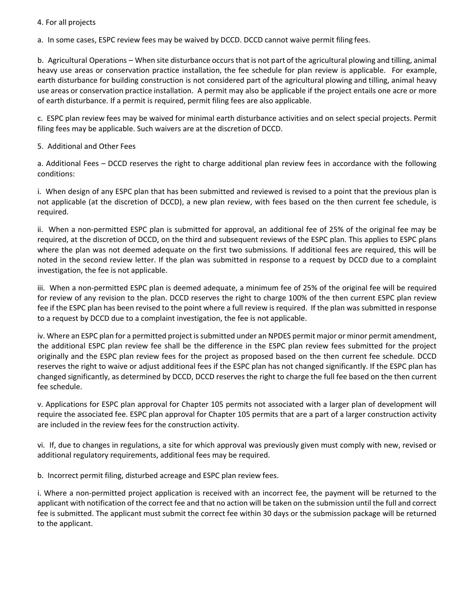#### 4. For all projects

a. In some cases, ESPC review fees may be waived by DCCD. DCCD cannot waive permit filing fees.

b. Agricultural Operations – When site disturbance occurs that is not part of the agricultural plowing and tilling, animal heavy use areas or conservation practice installation, the fee schedule for plan review is applicable. For example, earth disturbance for building construction is not considered part of the agricultural plowing and tilling, animal heavy use areas or conservation practice installation. A permit may also be applicable if the project entails one acre or more of earth disturbance. If a permit is required, permit filing fees are also applicable.

c. ESPC plan review fees may be waived for minimal earth disturbance activities and on select special projects. Permit filing fees may be applicable. Such waivers are at the discretion of DCCD.

#### 5. Additional and Other Fees

a. Additional Fees – DCCD reserves the right to charge additional plan review fees in accordance with the following conditions:

i. When design of any ESPC plan that has been submitted and reviewed is revised to a point that the previous plan is not applicable (at the discretion of DCCD), a new plan review, with fees based on the then current fee schedule, is required.

ii. When a non‐permitted ESPC plan is submitted for approval, an additional fee of 25% of the original fee may be required, at the discretion of DCCD, on the third and subsequent reviews of the ESPC plan. This applies to ESPC plans where the plan was not deemed adequate on the first two submissions*.* If additional fees are required, this will be noted in the second review letter. If the plan was submitted in response to a request by DCCD due to a complaint investigation, the fee is not applicable.

iii. When a non‐permitted ESPC plan is deemed adequate, a minimum fee of 25% of the original fee will be required for review of any revision to the plan. DCCD reserves the right to charge 100% of the then current ESPC plan review fee if the ESPC plan has been revised to the point where a full review is required. If the plan was submitted in response to a request by DCCD due to a complaint investigation, the fee is not applicable.

iv. Where an ESPC plan for a permitted project is submitted under an NPDES permit major or minor permit amendment, the additional ESPC plan review fee shall be the difference in the ESPC plan review fees submitted for the project originally and the ESPC plan review fees for the project as proposed based on the then current fee schedule. DCCD reserves the right to waive or adjust additional fees if the ESPC plan has not changed significantly. If the ESPC plan has changed significantly, as determined by DCCD, DCCD reserves the right to charge the full fee based on the then current fee schedule.

v. Applications for ESPC plan approval for Chapter 105 permits not associated with a larger plan of development will require the associated fee. ESPC plan approval for Chapter 105 permits that are a part of a larger construction activity are included in the review fees for the construction activity.

vi. If, due to changes in regulations, a site for which approval was previously given must comply with new, revised or additional regulatory requirements, additional fees may be required.

b. Incorrect permit filing, disturbed acreage and ESPC plan review fees.

i. Where a non‐permitted project application is received with an incorrect fee, the payment will be returned to the applicant with notification of the correct fee and that no action will be taken on the submission until the full and correct fee is submitted. The applicant must submit the correct fee within 30 days or the submission package will be returned to the applicant.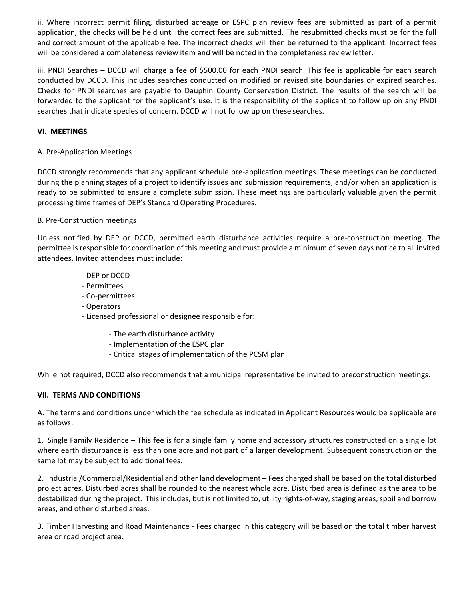ii. Where incorrect permit filing, disturbed acreage or ESPC plan review fees are submitted as part of a permit application, the checks will be held until the correct fees are submitted. The resubmitted checks must be for the full and correct amount of the applicable fee. The incorrect checks will then be returned to the applicant. Incorrect fees will be considered a completeness review item and will be noted in the completeness review letter.

iii. PNDI Searches – DCCD will charge a fee of \$500.00 for each PNDI search. This fee is applicable for each search conducted by DCCD. This includes searches conducted on modified or revised site boundaries or expired searches. Checks for PNDI searches are payable to Dauphin County Conservation District. The results of the search will be forwarded to the applicant for the applicant's use. It is the responsibility of the applicant to follow up on any PNDI searches that indicate species of concern. DCCD will not follow up on these searches.

#### **VI. MEETINGS**

#### A. Pre‐Application Meetings

DCCD strongly recommends that any applicant schedule pre‐application meetings. These meetings can be conducted during the planning stages of a project to identify issues and submission requirements, and/or when an application is ready to be submitted to ensure a complete submission. These meetings are particularly valuable given the permit processing time frames of DEP's Standard Operating Procedures.

#### B. Pre‐Construction meetings

Unless notified by DEP or DCCD, permitted earth disturbance activities require a pre‐construction meeting. The permittee is responsible for coordination of this meeting and must provide a minimum of seven days notice to all invited attendees. Invited attendees must include:

- ‐ DEP or DCCD
- ‐ Permittees
- ‐ Co‐permittees
- ‐ Operators
- ‐ Licensed professional or designee responsible for:
	- ‐ The earth disturbance activity
	- ‐ Implementation of the ESPC plan
	- ‐ Critical stages of implementation of the PCSM plan

While not required, DCCD also recommends that a municipal representative be invited to preconstruction meetings.

#### **VII. TERMS AND CONDITIONS**

A. The terms and conditions under which the fee schedule as indicated in Applicant Resources would be applicable are as follows:

1. Single Family Residence – This fee is for a single family home and accessory structures constructed on a single lot where earth disturbance is less than one acre and not part of a larger development. Subsequent construction on the same lot may be subject to additional fees.

2. Industrial/Commercial/Residential and other land development – Fees charged shall be based on the total disturbed project acres. Disturbed acres shall be rounded to the nearest whole acre. Disturbed area is defined as the area to be destabilized during the project. This includes, but is not limited to, utility rights‐of‐way, staging areas, spoil and borrow areas, and other disturbed areas.

3. Timber Harvesting and Road Maintenance ‐ Fees charged in this category will be based on the total timber harvest area or road project area.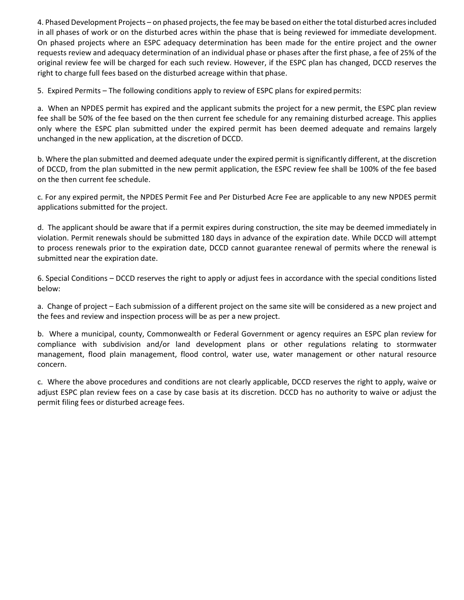4. Phased Development Projects – on phased projects, the fee may be based on either the total disturbed acresincluded in all phases of work or on the disturbed acres within the phase that is being reviewed for immediate development. On phased projects where an ESPC adequacy determination has been made for the entire project and the owner requests review and adequacy determination of an individual phase or phases after the first phase, a fee of 25% of the original review fee will be charged for each such review. However, if the ESPC plan has changed, DCCD reserves the right to charge full fees based on the disturbed acreage within that phase.

5. Expired Permits – The following conditions apply to review of ESPC plans for expired permits:

a. When an NPDES permit has expired and the applicant submits the project for a new permit, the ESPC plan review fee shall be 50% of the fee based on the then current fee schedule for any remaining disturbed acreage. This applies only where the ESPC plan submitted under the expired permit has been deemed adequate and remains largely unchanged in the new application, at the discretion of DCCD.

b. Where the plan submitted and deemed adequate under the expired permit issignificantly different, at the discretion of DCCD, from the plan submitted in the new permit application, the ESPC review fee shall be 100% of the fee based on the then current fee schedule.

c. For any expired permit, the NPDES Permit Fee and Per Disturbed Acre Fee are applicable to any new NPDES permit applications submitted for the project.

d. The applicant should be aware that if a permit expires during construction, the site may be deemed immediately in violation. Permit renewals should be submitted 180 days in advance of the expiration date. While DCCD will attempt to process renewals prior to the expiration date, DCCD cannot guarantee renewal of permits where the renewal is submitted near the expiration date.

6. Special Conditions – DCCD reserves the right to apply or adjust fees in accordance with the special conditions listed below:

a. Change of project – Each submission of a different project on the same site will be considered as a new project and the fees and review and inspection process will be as per a new project.

b. Where a municipal, county, Commonwealth or Federal Government or agency requires an ESPC plan review for compliance with subdivision and/or land development plans or other regulations relating to stormwater management, flood plain management, flood control, water use, water management or other natural resource concern.

c. Where the above procedures and conditions are not clearly applicable, DCCD reserves the right to apply, waive or adjust ESPC plan review fees on a case by case basis at its discretion. DCCD has no authority to waive or adjust the permit filing fees or disturbed acreage fees.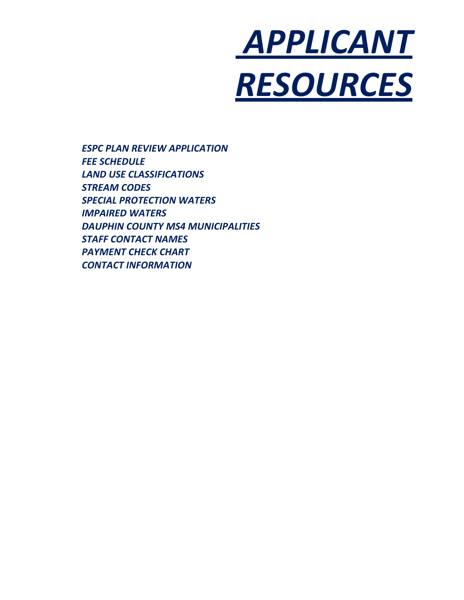

*ESPC PLAN REVIEW APPLICATION FEE SCHEDULE LAND USE CLASSIFICATIONS STREAM CODES SPECIAL PROTECTION WATERS IMPAIRED WATERS DAUPHIN COUNTY MS4 MUNICIPALITIES STAFF CONTACT NAMES PAYMENT CHECK CHART CONTACT INFORMATION*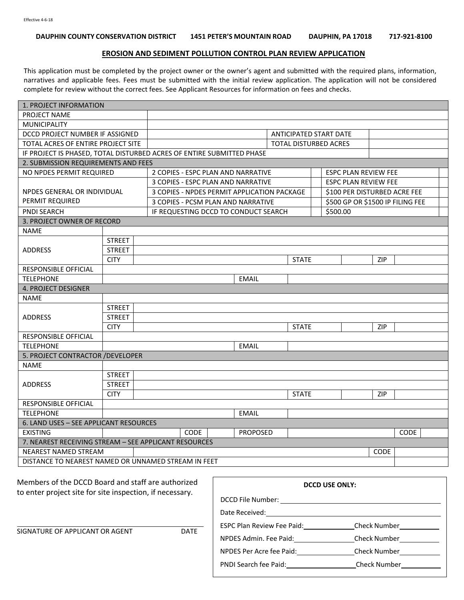#### **DAUPHIN COUNTY CONSERVATION DISTRICT 1451 PETER'S MOUNTAIN ROAD DAUPHIN, PA 17018 717‐921‐8100**

#### **EROSION AND SEDIMENT POLLUTION CONTROL PLAN REVIEW APPLICATION**

This application must be completed by the project owner or the owner's agent and submitted with the required plans, information, narratives and applicable fees. Fees must be submitted with the initial review application. The application will not be considered complete for review without the correct fees. See Applicant Resources for information on fees and checks.

| 1. PROJECT INFORMATION                                                |               |                                                                   |                        |                 |  |                              |                              |  |     |                                  |
|-----------------------------------------------------------------------|---------------|-------------------------------------------------------------------|------------------------|-----------------|--|------------------------------|------------------------------|--|-----|----------------------------------|
| PROJECT NAME                                                          |               |                                                                   |                        |                 |  |                              |                              |  |     |                                  |
| <b>MUNICIPALITY</b>                                                   |               |                                                                   |                        |                 |  |                              |                              |  |     |                                  |
| DCCD PROJECT NUMBER IF ASSIGNED                                       |               |                                                                   | ANTICIPATED START DATE |                 |  |                              |                              |  |     |                                  |
| TOTAL ACRES OF ENTIRE PROJECT SITE                                    |               |                                                                   |                        |                 |  | <b>TOTAL DISTURBED ACRES</b> |                              |  |     |                                  |
| IF PROJECT IS PHASED, TOTAL DISTURBED ACRES OF ENTIRE SUBMITTED PHASE |               |                                                                   |                        |                 |  |                              |                              |  |     |                                  |
| 2. SUBMISSION REQUIREMENTS AND FEES                                   |               |                                                                   |                        |                 |  |                              |                              |  |     |                                  |
| NO NPDES PERMIT REQUIRED                                              |               | 2 COPIES - ESPC PLAN AND NARRATIVE<br><b>ESPC PLAN REVIEW FEE</b> |                        |                 |  |                              |                              |  |     |                                  |
|                                                                       |               | 3 COPIES - ESPC PLAN AND NARRATIVE                                |                        |                 |  | <b>ESPC PLAN REVIEW FEE</b>  |                              |  |     |                                  |
| NPDES GENERAL OR INDIVIDUAL                                           |               | 3 COPIES - NPDES PERMIT APPLICATION PACKAGE                       |                        |                 |  |                              | \$100 PER DISTURBED ACRE FEE |  |     |                                  |
| PERMIT REQUIRED                                                       |               | 3 COPIES - PCSM PLAN AND NARRATIVE                                |                        |                 |  |                              |                              |  |     | \$500 GP OR \$1500 IP FILING FEE |
| <b>PNDI SEARCH</b>                                                    |               | IF REQUESTING DCCD TO CONDUCT SEARCH                              |                        |                 |  |                              | \$500.00                     |  |     |                                  |
| 3. PROJECT OWNER OF RECORD                                            |               |                                                                   |                        |                 |  |                              |                              |  |     |                                  |
| <b>NAME</b>                                                           |               |                                                                   |                        |                 |  |                              |                              |  |     |                                  |
|                                                                       | <b>STREET</b> |                                                                   |                        |                 |  |                              |                              |  |     |                                  |
| <b>ADDRESS</b>                                                        | <b>STREET</b> |                                                                   |                        |                 |  |                              |                              |  |     |                                  |
|                                                                       | <b>CITY</b>   |                                                                   |                        |                 |  | <b>STATE</b>                 |                              |  | ZIP |                                  |
| <b>RESPONSIBLE OFFICIAL</b>                                           |               |                                                                   |                        |                 |  |                              |                              |  |     |                                  |
| <b>TELEPHONE</b>                                                      |               |                                                                   |                        | <b>EMAIL</b>    |  |                              |                              |  |     |                                  |
| <b>4. PROJECT DESIGNER</b>                                            |               |                                                                   |                        |                 |  |                              |                              |  |     |                                  |
| <b>NAME</b>                                                           |               |                                                                   |                        |                 |  |                              |                              |  |     |                                  |
|                                                                       | <b>STREET</b> |                                                                   |                        |                 |  |                              |                              |  |     |                                  |
| <b>ADDRESS</b>                                                        | <b>STREET</b> |                                                                   |                        |                 |  |                              |                              |  |     |                                  |
|                                                                       | <b>CITY</b>   |                                                                   |                        |                 |  | <b>STATE</b>                 |                              |  | ZIP |                                  |
| RESPONSIBLE OFFICIAL                                                  |               |                                                                   |                        |                 |  |                              |                              |  |     |                                  |
| <b>TELEPHONE</b>                                                      |               |                                                                   |                        | <b>EMAIL</b>    |  |                              |                              |  |     |                                  |
| 5. PROJECT CONTRACTOR / DEVELOPER                                     |               |                                                                   |                        |                 |  |                              |                              |  |     |                                  |
| <b>NAME</b>                                                           |               |                                                                   |                        |                 |  |                              |                              |  |     |                                  |
|                                                                       | <b>STREET</b> |                                                                   |                        |                 |  |                              |                              |  |     |                                  |
| ADDRESS                                                               | <b>STREET</b> |                                                                   |                        |                 |  |                              |                              |  |     |                                  |
|                                                                       | <b>CITY</b>   |                                                                   |                        |                 |  | <b>STATE</b>                 |                              |  | ZIP |                                  |
| <b>RESPONSIBLE OFFICIAL</b>                                           |               |                                                                   |                        |                 |  |                              |                              |  |     |                                  |
| <b>TELEPHONE</b>                                                      |               |                                                                   |                        | <b>EMAIL</b>    |  |                              |                              |  |     |                                  |
| 6. LAND USES - SEE APPLICANT RESOURCES                                |               |                                                                   |                        |                 |  |                              |                              |  |     |                                  |
| <b>EXISTING</b>                                                       |               | <b>CODE</b>                                                       |                        | <b>PROPOSED</b> |  |                              |                              |  |     | <b>CODE</b>                      |
| 7. NEAREST RECEIVING STREAM - SEE APPLICANT RESOURCES                 |               |                                                                   |                        |                 |  |                              |                              |  |     |                                  |
| NEAREST NAMED STREAM<br><b>CODE</b>                                   |               |                                                                   |                        |                 |  |                              |                              |  |     |                                  |
| DISTANCE TO NEAREST NAMED OR UNNAMED STREAM IN FEET                   |               |                                                                   |                        |                 |  |                              |                              |  |     |                                  |

Members of the DCCD Board and staff are authorized to enter project site for site inspection, if necessary.

| <b>DCCD USE ONLY:</b>              |
|------------------------------------|
|                                    |
|                                    |
|                                    |
| Check Number____________           |
|                                    |
| PNDI Search fee Paid: Check Number |
|                                    |

SIGNATURE OF APPLICANT OR AGENT DATE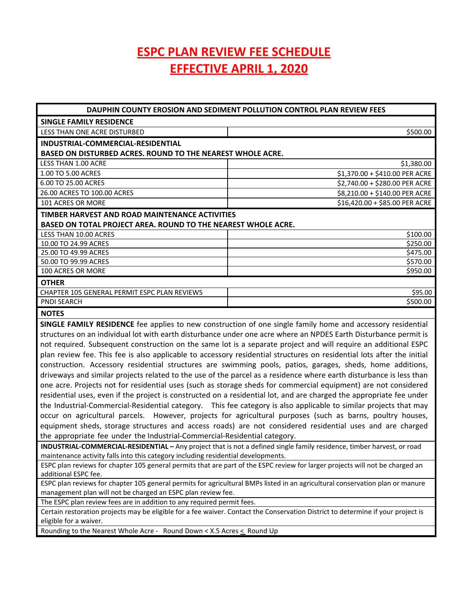# **ESPC PLAN REVIEW FEE SCHEDULE EFFECTIVE APRIL 1, 2020**

| DAUPHIN COUNTY EROSION AND SEDIMENT POLLUTION CONTROL PLAN REVIEW FEES                                                 |                                                                                                                  |  |  |  |
|------------------------------------------------------------------------------------------------------------------------|------------------------------------------------------------------------------------------------------------------|--|--|--|
| <b>SINGLE FAMILY RESIDENCE</b>                                                                                         |                                                                                                                  |  |  |  |
| LESS THAN ONE ACRE DISTURBED                                                                                           | \$500.00                                                                                                         |  |  |  |
| INDUSTRIAL-COMMERCIAL-RESIDENTIAL                                                                                      |                                                                                                                  |  |  |  |
| <b>BASED ON DISTURBED ACRES. ROUND TO THE NEAREST WHOLE ACRE.</b>                                                      |                                                                                                                  |  |  |  |
| LESS THAN 1.00 ACRE                                                                                                    | \$1,380.00                                                                                                       |  |  |  |
| 1.00 TO 5.00 ACRES                                                                                                     | \$1,370.00 + \$410.00 PER ACRE                                                                                   |  |  |  |
| 6.00 TO 25.00 ACRES                                                                                                    | \$2,740.00 + \$280.00 PER ACRE                                                                                   |  |  |  |
| 26.00 ACRES TO 100.00 ACRES                                                                                            | \$8,210.00 + \$140.00 PER ACRE                                                                                   |  |  |  |
| 101 ACRES OR MORE                                                                                                      | \$16,420.00 + \$85.00 PER ACRE                                                                                   |  |  |  |
| TIMBER HARVEST AND ROAD MAINTENANCE ACTIVITIES                                                                         |                                                                                                                  |  |  |  |
| BASED ON TOTAL PROJECT AREA. ROUND TO THE NEAREST WHOLE ACRE.                                                          |                                                                                                                  |  |  |  |
| <b>LESS THAN 10.00 ACRES</b>                                                                                           | \$100.00                                                                                                         |  |  |  |
| 10.00 TO 24.99 ACRES                                                                                                   | \$250.00                                                                                                         |  |  |  |
| 25.00 TO 49.99 ACRES                                                                                                   | \$475.00                                                                                                         |  |  |  |
| 50.00 TO 99.99 ACRES                                                                                                   | \$570.00                                                                                                         |  |  |  |
| 100 ACRES OR MORE                                                                                                      | \$950.00                                                                                                         |  |  |  |
| <b>OTHER</b>                                                                                                           |                                                                                                                  |  |  |  |
| CHAPTER 105 GENERAL PERMIT ESPC PLAN REVIEWS                                                                           | \$95.00                                                                                                          |  |  |  |
| <b>PNDI SEARCH</b>                                                                                                     | \$500.00                                                                                                         |  |  |  |
| <b>NOTES</b>                                                                                                           |                                                                                                                  |  |  |  |
|                                                                                                                        | SINGLE FAMILY RESIDENCE fee applies to new construction of one single family home and accessory residential      |  |  |  |
|                                                                                                                        | structures on an individual lot with earth disturbance under one acre where an NPDES Earth Disturbance permit is |  |  |  |
| not required. Subsequent construction on the same lot is a separate project and will require an additional ESPC        |                                                                                                                  |  |  |  |
| plan review fee. This fee is also applicable to accessory residential structures on residential lots after the initial |                                                                                                                  |  |  |  |
| construction. Accessory residential structures are swimming pools, patios, garages, sheds, home additions,             |                                                                                                                  |  |  |  |
| driveways and similar projects related to the use of the parcel as a residence where earth disturbance is less than    |                                                                                                                  |  |  |  |
| one acre. Projects not for residential uses (such as storage sheds for commercial equipment) are not considered        |                                                                                                                  |  |  |  |
| residential uses, even if the project is constructed on a residential lot, and are charged the appropriate fee under   |                                                                                                                  |  |  |  |
| the Industrial-Commercial-Residential category.  This fee category is also applicable to similar projects that may     |                                                                                                                  |  |  |  |

the Industrial‐Commercial‐Residential category. This fee category is also applicable to similar projects that may occur on agricultural parcels. However, projects for agricultural purposes (such as barns, poultry houses, equipment sheds, storage structures and access roads) are not considered residential uses and are charged the appropriate fee under the Industrial‐Commercial‐Residential category.

**INDUSTRIAL‐COMMERCIAL‐RESIDENTIAL –** Any project that is not a defined single family residence, timber harvest, or road maintenance activity falls into this category including residential developments.

ESPC plan reviews for chapter 105 general permits that are part of the ESPC review for larger projects will not be charged an additional ESPC fee.

ESPC plan reviews for chapter 105 general permits for agricultural BMPs listed in an agricultural conservation plan or manure management plan will not be charged an ESPC plan review fee.

The ESPC plan review fees are in addition to any required permit fees.

Certain restoration projects may be eligible for a fee waiver. Contact the Conservation District to determine if your project is eligible for a waiver.

Rounding to the Nearest Whole Acre - Round Down < X.5 Acres  $\leq$  Round Up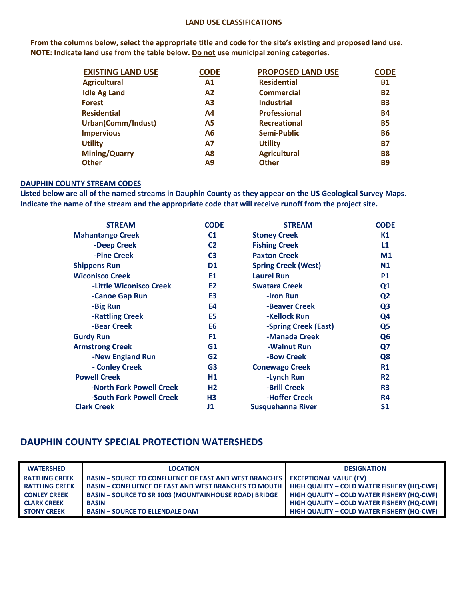#### **LAND USE CLASSIFICATIONS**

From the columns below, select the appropriate title and code for the site's existing and proposed land use. **NOTE: Indicate land use from the table below. Do not use municipal zoning categories.**

| <b>EXISTING LAND USE</b> | <b>CODE</b>    | <b>PROPOSED LAND USE</b> | <b>CODE</b> |
|--------------------------|----------------|--------------------------|-------------|
| <b>Agricultural</b>      | A1             | <b>Residential</b>       | <b>B1</b>   |
| <b>Idle Ag Land</b>      | A <sub>2</sub> | <b>Commercial</b>        | <b>B2</b>   |
| <b>Forest</b>            | A <sub>3</sub> | <b>Industrial</b>        | <b>B3</b>   |
| <b>Residential</b>       | A4             | <b>Professional</b>      | <b>B4</b>   |
| Urban(Comm/Indust)       | <b>A5</b>      | <b>Recreational</b>      | <b>B5</b>   |
| <b>Impervious</b>        | A6             | Semi-Public              | <b>B6</b>   |
| <b>Utility</b>           | <b>A7</b>      | <b>Utility</b>           | <b>B7</b>   |
| <b>Mining/Quarry</b>     | A8             | <b>Agricultural</b>      | <b>B8</b>   |
| <b>Other</b>             | Α9             | <b>Other</b>             | <b>B9</b>   |
|                          |                |                          |             |

#### **DAUPHIN COUNTY STREAM CODES**

Listed below are all of the named streams in Dauphin County as they appear on the US Geological Survey Maps. Indicate the name of the stream and the appropriate code that will receive runoff from the project site.

| <b>STREAM</b>                  | <b>CODE</b>    | <b>STREAM</b>              | <b>CODE</b>    |
|--------------------------------|----------------|----------------------------|----------------|
| <b>Mahantango Creek</b>        | C <sub>1</sub> | <b>Stoney Creek</b>        | K1             |
| -Deep Creek                    | C <sub>2</sub> | <b>Fishing Creek</b>       | L1             |
| -Pine Creek                    | C <sub>3</sub> | <b>Paxton Creek</b>        | M <sub>1</sub> |
| <b>Shippens Run</b>            | D <sub>1</sub> | <b>Spring Creek (West)</b> | N <sub>1</sub> |
| <b>Wiconisco Creek</b>         | E1             | <b>Laurel Run</b>          | <b>P1</b>      |
| <b>-Little Wiconisco Creek</b> | E <sub>2</sub> | <b>Swatara Creek</b>       | Q <sub>1</sub> |
| -Canoe Gap Run                 | E <sub>3</sub> | -Iron Run                  | Q <sub>2</sub> |
| -Big Run                       | E4             | -Beaver Creek              | Q <sub>3</sub> |
| -Rattling Creek                | E <sub>5</sub> | -Kellock Run               | Q4             |
| -Bear Creek                    | E <sub>6</sub> | -Spring Creek (East)       | Q <sub>5</sub> |
| <b>Gurdy Run</b>               | F <sub>1</sub> | -Manada Creek              | Q <sub>6</sub> |
| <b>Armstrong Creek</b>         | G1             | -Walnut Run                | Q7             |
| -New England Run               | G <sub>2</sub> | -Bow Creek                 | Q <sub>8</sub> |
| - Conley Creek                 | G <sub>3</sub> | <b>Conewago Creek</b>      | <b>R1</b>      |
| <b>Powell Creek</b>            | H1             | -Lynch Run                 | <b>R2</b>      |
| -North Fork Powell Creek       | H <sub>2</sub> | -Brill Creek               | R <sub>3</sub> |
| -South Fork Powell Creek       | H <sub>3</sub> | <b>-Hoffer Creek</b>       | R4             |
| <b>Clark Creek</b>             | J1             | Susquehanna River          | S <sub>1</sub> |

#### **DAUPHIN COUNTY SPECIAL PROTECTION WATERSHEDS**

| <b>WATERSHED</b>      | <b>LOCATION</b>                                               | <b>DESIGNATION</b>                                |
|-----------------------|---------------------------------------------------------------|---------------------------------------------------|
| <b>RATTLING CREEK</b> | <b>BASIN – SOURCE TO CONFLUENCE OF EAST AND WEST BRANCHES</b> | <b>EXCEPTIONAL VALUE (EV)</b>                     |
| <b>RATTLING CREEK</b> | <b>BASIN – CONFLUENCE OF EAST AND WEST BRANCHES TO MOUTH</b>  | <b>HIGH QUALITY - COLD WATER FISHERY (HQ-CWF)</b> |
| <b>CONLEY CREEK</b>   | <b>BASIN - SOURCE TO SR 1003 (MOUNTAINHOUSE ROAD) BRIDGE</b>  | <b>HIGH QUALITY - COLD WATER FISHERY (HQ-CWF)</b> |
| <b>CLARK CREEK</b>    | <b>BASIN</b>                                                  | <b>HIGH QUALITY - COLD WATER FISHERY (HQ-CWF)</b> |
| <b>STONY CREEK</b>    | <b>BASIN - SOURCE TO ELLENDALE DAM</b>                        | <b>HIGH QUALITY - COLD WATER FISHERY (HQ-CWF)</b> |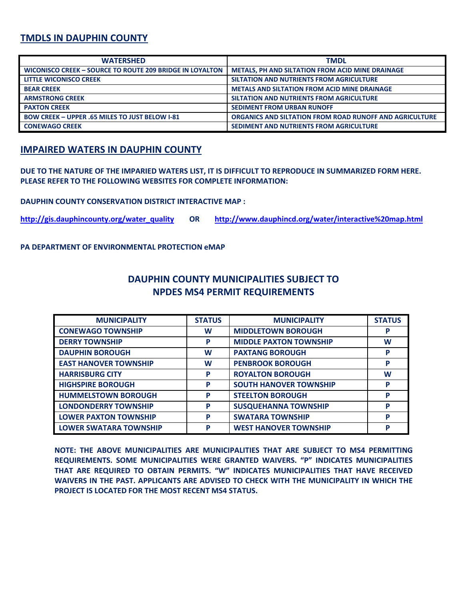## **TMDLS IN DAUPHIN COUNTY**

| <b>WATERSHED</b>                                                | <b>TMDL</b>                                                    |
|-----------------------------------------------------------------|----------------------------------------------------------------|
| <b>WICONISCO CREEK - SOURCE TO ROUTE 209 BRIDGE IN LOYALTON</b> | <b>METALS, PH AND SILTATION FROM ACID MINE DRAINAGE</b>        |
| <b>LITTLE WICONISCO CREEK</b>                                   | SILTATION AND NUTRIENTS FROM AGRICULTURE                       |
| <b>BEAR CREEK</b>                                               | <b>METALS AND SILTATION FROM ACID MINE DRAINAGE</b>            |
| <b>ARMSTRONG CREEK</b>                                          | SILTATION AND NUTRIENTS FROM AGRICULTURE                       |
| <b>PAXTON CREEK</b>                                             | <b>SEDIMENT FROM URBAN RUNOFF</b>                              |
| <b>BOW CREEK - UPPER .65 MILES TO JUST BELOW I-81</b>           | <b>ORGANICS AND SILTATION FROM ROAD RUNOFF AND AGRICULTURE</b> |
| <b>CONEWAGO CREEK</b>                                           | SEDIMENT AND NUTRIENTS FROM AGRICULTURE                        |

## **IMPAIRED WATERS IN DAUPHIN COUNTY**

DUE TO THE NATURE OF THE IMPARIED WATERS LIST, IT IS DIFFICULT TO REPRODUCE IN SUMMARIZED FORM HERE. **PLEASE REFER TO THE FOLLOWING WEBSITES FOR COMPLETE INFORMATION:**

**DAUPHIN COUNTY CONSERVATION DISTRICT INTERACTIVE MAP :**

**http://gis.dauphincounty.org/water\_quality OR http://www.dauphincd.org/water/interactive%20map.html** 

**PA DEPARTMENT OF ENVIRONMENTAL PROTECTION eMAP**

| DAUPHIN COUNTY MUNICIPALITIES SUBJECT TO |  |
|------------------------------------------|--|
| <b>NPDES MS4 PERMIT REQUIREMENTS</b>     |  |

| <b>MUNICIPALITY</b>           | <b>STATUS</b> | <b>MUNICIPALITY</b>           | <b>STATUS</b> |
|-------------------------------|---------------|-------------------------------|---------------|
| <b>CONEWAGO TOWNSHIP</b>      | W             | <b>MIDDLETOWN BOROUGH</b>     | P             |
| <b>DERRY TOWNSHIP</b>         | P             | <b>MIDDLE PAXTON TOWNSHIP</b> | W             |
| <b>DAUPHIN BOROUGH</b>        | W             | <b>PAXTANG BOROUGH</b>        | P             |
| <b>EAST HANOVER TOWNSHIP</b>  | W             | <b>PENBROOK BOROUGH</b>       | P             |
| <b>HARRISBURG CITY</b>        | P             | <b>ROYALTON BOROUGH</b>       | W             |
| <b>HIGHSPIRE BOROUGH</b>      | P             | <b>SOUTH HANOVER TOWNSHIP</b> | P             |
| <b>HUMMELSTOWN BOROUGH</b>    | P             | <b>STEELTON BOROUGH</b>       | P             |
| <b>LONDONDERRY TOWNSHIP</b>   | P             | <b>SUSQUEHANNA TOWNSHIP</b>   | P             |
| <b>LOWER PAXTON TOWNSHIP</b>  | P             | <b>SWATARA TOWNSHIP</b>       | P             |
| <b>LOWER SWATARA TOWNSHIP</b> | P             | <b>WEST HANOVER TOWNSHIP</b>  | P             |

**NOTE: THE ABOVE MUNICIPALITIES ARE MUNICIPALITIES THAT ARE SUBJECT TO MS4 PERMITTING REQUIREMENTS. SOME MUNICIPALITIES WERE GRANTED WAIVERS. "P" INDICATES MUNICIPALITIES THAT ARE REQUIRED TO OBTAIN PERMITS. "W" INDICATES MUNICIPALITIES THAT HAVE RECEIVED WAIVERS IN THE PAST. APPLICANTS ARE ADVISED TO CHECK WITH THE MUNICIPALITY IN WHICH THE PROJECT IS LOCATED FOR THE MOST RECENT MS4 STATUS.**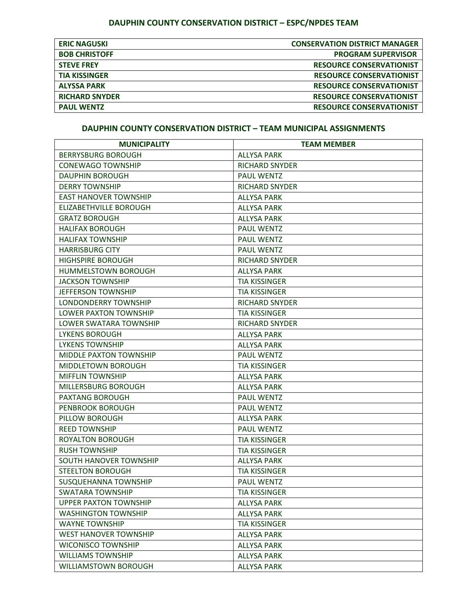# **DAUPHIN COUNTY CONSERVATION DISTRICT – ESPC/NPDES TEAM**

| <b>ERIC NAGUSKI</b>   | <b>CONSERVATION DISTRICT MANAGER</b> |
|-----------------------|--------------------------------------|
| <b>BOB CHRISTOFF</b>  | <b>PROGRAM SUPERVISOR</b>            |
| <b>STEVE FREY</b>     | <b>RESOURCE CONSERVATIONIST</b>      |
| <b>TIA KISSINGER</b>  | <b>RESOURCE CONSERVATIONIST</b>      |
| <b>ALYSSA PARK</b>    | <b>RESOURCE CONSERVATIONIST</b>      |
| <b>RICHARD SNYDER</b> | <b>RESOURCE CONSERVATIONIST</b>      |
| <b>PAUL WENTZ</b>     | <b>RESOURCE CONSERVATIONIST</b>      |

#### **DAUPHIN COUNTY CONSERVATION DISTRICT – TEAM MUNICIPAL ASSIGNMENTS**

| <b>MUNICIPALITY</b>           | <b>TEAM MEMBER</b>    |
|-------------------------------|-----------------------|
| <b>BERRYSBURG BOROUGH</b>     | <b>ALLYSA PARK</b>    |
| <b>CONEWAGO TOWNSHIP</b>      | <b>RICHARD SNYDER</b> |
| <b>DAUPHIN BOROUGH</b>        | <b>PAUL WENTZ</b>     |
| <b>DERRY TOWNSHIP</b>         | <b>RICHARD SNYDER</b> |
| <b>EAST HANOVER TOWNSHIP</b>  | <b>ALLYSA PARK</b>    |
| <b>ELIZABETHVILLE BOROUGH</b> | <b>ALLYSA PARK</b>    |
| <b>GRATZ BOROUGH</b>          | <b>ALLYSA PARK</b>    |
| <b>HALIFAX BOROUGH</b>        | <b>PAUL WENTZ</b>     |
| <b>HALIFAX TOWNSHIP</b>       | <b>PAUL WENTZ</b>     |
| <b>HARRISBURG CITY</b>        | <b>PAUL WENTZ</b>     |
| <b>HIGHSPIRE BOROUGH</b>      | <b>RICHARD SNYDER</b> |
| <b>HUMMELSTOWN BOROUGH</b>    | <b>ALLYSA PARK</b>    |
| <b>JACKSON TOWNSHIP</b>       | <b>TIA KISSINGER</b>  |
| <b>JEFFERSON TOWNSHIP</b>     | <b>TIA KISSINGER</b>  |
| LONDONDERRY TOWNSHIP          | <b>RICHARD SNYDER</b> |
| LOWER PAXTON TOWNSHIP         | <b>TIA KISSINGER</b>  |
| LOWER SWATARA TOWNSHIP        | <b>RICHARD SNYDER</b> |
| <b>LYKENS BOROUGH</b>         | <b>ALLYSA PARK</b>    |
| <b>LYKENS TOWNSHIP</b>        | <b>ALLYSA PARK</b>    |
| MIDDLE PAXTON TOWNSHIP        | <b>PAUL WENTZ</b>     |
| MIDDLETOWN BOROUGH            | <b>TIA KISSINGER</b>  |
| <b>MIFFLIN TOWNSHIP</b>       | <b>ALLYSA PARK</b>    |
| MILLERSBURG BOROUGH           | <b>ALLYSA PARK</b>    |
| <b>PAXTANG BOROUGH</b>        | <b>PAUL WENTZ</b>     |
| PENBROOK BOROUGH              | <b>PAUL WENTZ</b>     |
| PILLOW BOROUGH                | <b>ALLYSA PARK</b>    |
| <b>REED TOWNSHIP</b>          | <b>PAUL WENTZ</b>     |
| <b>ROYALTON BOROUGH</b>       | <b>TIA KISSINGER</b>  |
| <b>RUSH TOWNSHIP</b>          | <b>TIA KISSINGER</b>  |
| SOUTH HANOVER TOWNSHIP        | <b>ALLYSA PARK</b>    |
| <b>STEELTON BOROUGH</b>       | <b>TIA KISSINGER</b>  |
| SUSQUEHANNA TOWNSHIP          | PAUL WENTZ            |
| <b>SWATARA TOWNSHIP</b>       | <b>TIA KISSINGER</b>  |
| <b>UPPER PAXTON TOWNSHIP</b>  | <b>ALLYSA PARK</b>    |
| <b>WASHINGTON TOWNSHIP</b>    | <b>ALLYSA PARK</b>    |
| <b>WAYNE TOWNSHIP</b>         | <b>TIA KISSINGER</b>  |
| <b>WEST HANOVER TOWNSHIP</b>  | <b>ALLYSA PARK</b>    |
| <b>WICONISCO TOWNSHIP</b>     | <b>ALLYSA PARK</b>    |
| <b>WILLIAMS TOWNSHIP</b>      | <b>ALLYSA PARK</b>    |
| WILLIAMSTOWN BOROUGH          | <b>ALLYSA PARK</b>    |